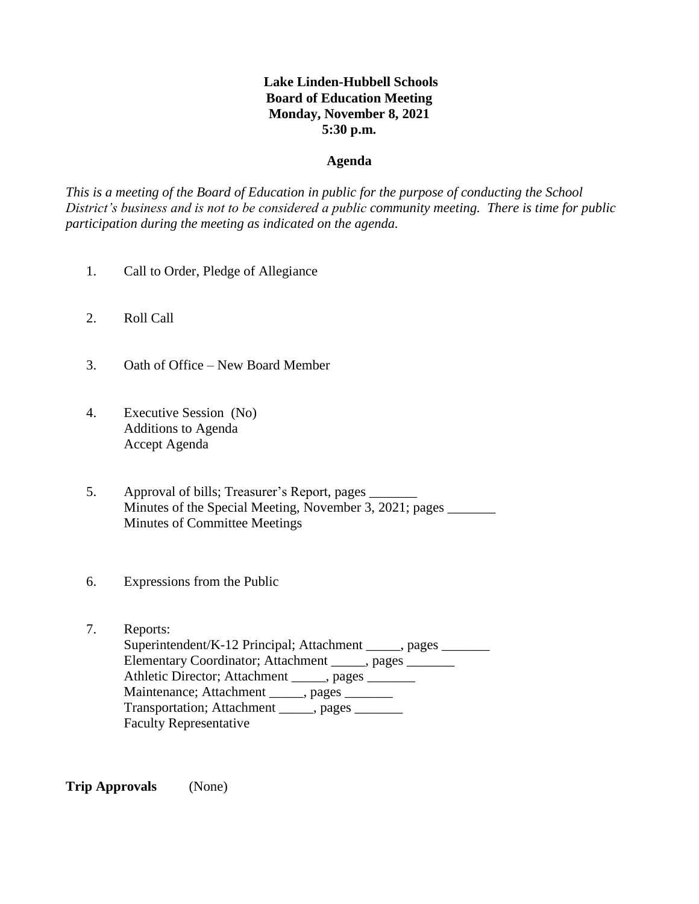# **Lake Linden-Hubbell Schools Board of Education Meeting Monday, November 8, 2021 5:30 p.m.**

### **Agenda**

*This is a meeting of the Board of Education in public for the purpose of conducting the School District's business and is not to be considered a public community meeting. There is time for public participation during the meeting as indicated on the agenda.*

- 1. Call to Order, Pledge of Allegiance
- 2. Roll Call
- 3. Oath of Office New Board Member
- 4. Executive Session (No) Additions to Agenda Accept Agenda
- 5. Approval of bills; Treasurer's Report, pages \_\_\_\_\_\_\_ Minutes of the Special Meeting, November 3, 2021; pages \_\_\_\_\_\_\_ Minutes of Committee Meetings
- 6. Expressions from the Public
- 7. Reports: Superintendent/K-12 Principal; Attachment \_\_\_\_\_, pages \_\_\_\_\_\_\_ Elementary Coordinator; Attachment \_\_\_\_\_, pages \_\_\_\_\_\_ Athletic Director; Attachment \_\_\_\_\_, pages \_\_\_\_\_\_ Maintenance; Attachment \_\_\_\_\_, pages \_\_\_\_\_\_ Transportation; Attachment \_\_\_\_\_, pages \_\_\_\_\_\_ Faculty Representative

**Trip Approvals** (None)